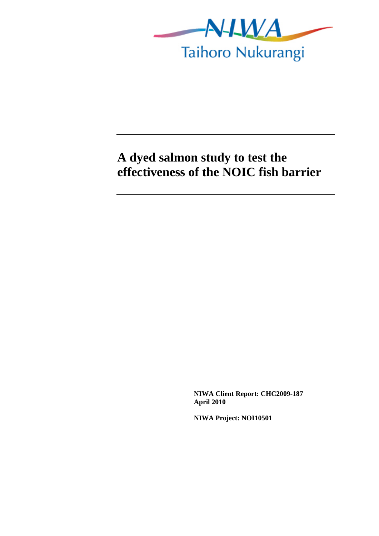

# **A dyed salmon study to test the effectiveness of the NOIC fish barrier**

**NIWA Client Report: CHC2009-187 April 2010** 

**NIWA Project: NOI10501**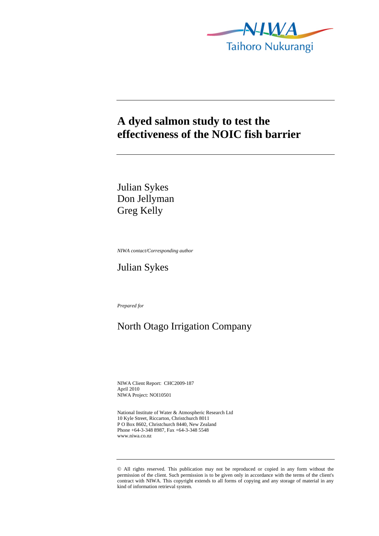

## **A dyed salmon study to test the effectiveness of the NOIC fish barrier**

Julian Sykes Don Jellyman Greg Kelly

*NIWA contact/Corresponding author* 

Julian Sykes

*Prepared for* 

## North Otago Irrigation Company

NIWA Client Report: CHC2009-187 April 2010 NIWA Project: NOI10501

National Institute of Water & Atmospheric Research Ltd 10 Kyle Street, Riccarton, Christchurch 8011 P O Box 8602, Christchurch 8440, New Zealand Phone +64-3-348 8987, Fax +64-3-348 5548 www.niwa.co.nz

<sup>©</sup> All rights reserved. This publication may not be reproduced or copied in any form without the permission of the client. Such permission is to be given only in accordance with the terms of the client's contract with NIWA. This copyright extends to all forms of copying and any storage of material in any kind of information retrieval system.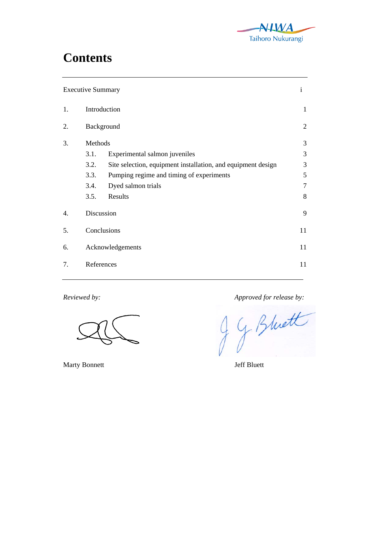

# **Contents**

| <b>Executive Summary</b> |                  |                                                              | $\mathbf{i}$ |
|--------------------------|------------------|--------------------------------------------------------------|--------------|
| 1.                       | Introduction     |                                                              | $\mathbf{1}$ |
| 2.                       | Background       |                                                              | $\sqrt{2}$   |
| 3.                       | Methods          |                                                              | 3            |
|                          | 3.1.             | Experimental salmon juveniles                                | 3            |
|                          | 3.2.             | Site selection, equipment installation, and equipment design | 3            |
|                          | 3.3.             | Pumping regime and timing of experiments                     | 5            |
|                          | 3.4.             | Dyed salmon trials                                           | 7            |
|                          | 3.5.             | Results                                                      | 8            |
| 4.                       | Discussion       |                                                              | 9            |
| 5.                       | Conclusions      |                                                              | 11           |
| 6.                       | Acknowledgements |                                                              | 11           |
| 7.                       | References       |                                                              | 11           |
|                          |                  |                                                              |              |

Marty Bonnett Jeff Bluett

Reviewed by:<br> **CONTENTS** Approved for release by:<br> **CONTENTS**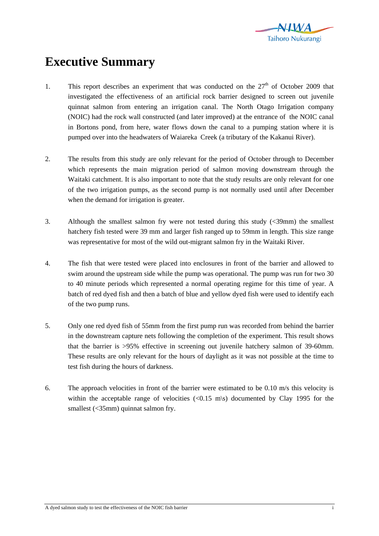

# **Executive Summary**

- 1. This report describes an experiment that was conducted on the  $27<sup>th</sup>$  of October 2009 that investigated the effectiveness of an artificial rock barrier designed to screen out juvenile quinnat salmon from entering an irrigation canal. The North Otago Irrigation company (NOIC) had the rock wall constructed (and later improved) at the entrance of the NOIC canal in Bortons pond, from here, water flows down the canal to a pumping station where it is pumped over into the headwaters of Waiareka Creek (a tributary of the Kakanui River).
- 2. The results from this study are only relevant for the period of October through to December which represents the main migration period of salmon moving downstream through the Waitaki catchment. It is also important to note that the study results are only relevant for one of the two irrigation pumps, as the second pump is not normally used until after December when the demand for irrigation is greater.
- 3. Although the smallest salmon fry were not tested during this study (<39mm) the smallest hatchery fish tested were 39 mm and larger fish ranged up to 59mm in length. This size range was representative for most of the wild out-migrant salmon fry in the Waitaki River.
- 4. The fish that were tested were placed into enclosures in front of the barrier and allowed to swim around the upstream side while the pump was operational. The pump was run for two 30 to 40 minute periods which represented a normal operating regime for this time of year. A batch of red dyed fish and then a batch of blue and yellow dyed fish were used to identify each of the two pump runs.
- 5. Only one red dyed fish of 55mm from the first pump run was recorded from behind the barrier in the downstream capture nets following the completion of the experiment. This result shows that the barrier is >95% effective in screening out juvenile hatchery salmon of 39-60mm. These results are only relevant for the hours of daylight as it was not possible at the time to test fish during the hours of darkness.
- 6. The approach velocities in front of the barrier were estimated to be 0.10 m/s this velocity is within the acceptable range of velocities  $\langle 0.15 \text{ m/s} \rangle$  documented by Clay 1995 for the smallest (<35mm) quinnat salmon fry.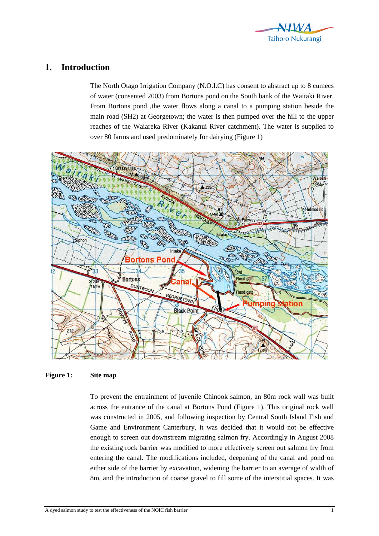

## **1. Introduction**

The North Otago Irrigation Company (N.O.I.C) has consent to abstract up to 8 cumecs of water (consented 2003) from Bortons pond on the South bank of the Waitaki River. From Bortons pond ,the water flows along a canal to a pumping station beside the main road (SH2) at Georgetown; the water is then pumped over the hill to the upper reaches of the Waiareka River (Kakanui River catchment). The water is supplied to over 80 farms and used predominately for dairying (Figure 1)



#### **Figure 1: Site map**

To prevent the entrainment of juvenile Chinook salmon, an 80m rock wall was built across the entrance of the canal at Bortons Pond (Figure 1). This original rock wall was constructed in 2005, and following inspection by Central South Island Fish and Game and Environment Canterbury, it was decided that it would not be effective enough to screen out downstream migrating salmon fry. Accordingly in August 2008 the existing rock barrier was modified to more effectively screen out salmon fry from entering the canal. The modifications included, deepening of the canal and pond on either side of the barrier by excavation, widening the barrier to an average of width of 8m, and the introduction of coarse gravel to fill some of the interstitial spaces. It was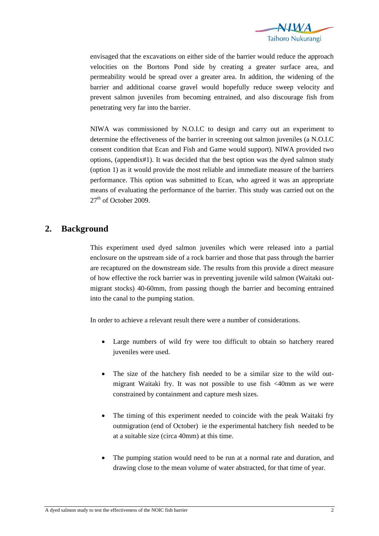

envisaged that the excavations on either side of the barrier would reduce the approach velocities on the Bortons Pond side by creating a greater surface area, and permeability would be spread over a greater area. In addition, the widening of the barrier and additional coarse gravel would hopefully reduce sweep velocity and prevent salmon juveniles from becoming entrained, and also discourage fish from penetrating very far into the barrier.

NIWA was commissioned by N.O.I.C to design and carry out an experiment to determine the effectiveness of the barrier in screening out salmon juveniles (a N.O.I.C consent condition that Ecan and Fish and Game would support). NIWA provided two options, (appendix#1). It was decided that the best option was the dyed salmon study (option 1) as it would provide the most reliable and immediate measure of the barriers performance. This option was submitted to Ecan, who agreed it was an appropriate means of evaluating the performance of the barrier. This study was carried out on the  $27<sup>th</sup>$  of October 2009.

### **2. Background**

This experiment used dyed salmon juveniles which were released into a partial enclosure on the upstream side of a rock barrier and those that pass through the barrier are recaptured on the downstream side. The results from this provide a direct measure of how effective the rock barrier was in preventing juvenile wild salmon (Waitaki outmigrant stocks) 40-60mm, from passing though the barrier and becoming entrained into the canal to the pumping station.

In order to achieve a relevant result there were a number of considerations.

- Large numbers of wild fry were too difficult to obtain so hatchery reared juveniles were used.
- The size of the hatchery fish needed to be a similar size to the wild outmigrant Waitaki fry. It was not possible to use fish <40mm as we were constrained by containment and capture mesh sizes.
- The timing of this experiment needed to coincide with the peak Waitaki fry outmigration (end of October) ie the experimental hatchery fish needed to be at a suitable size (circa 40mm) at this time.
- The pumping station would need to be run at a normal rate and duration, and drawing close to the mean volume of water abstracted, for that time of year.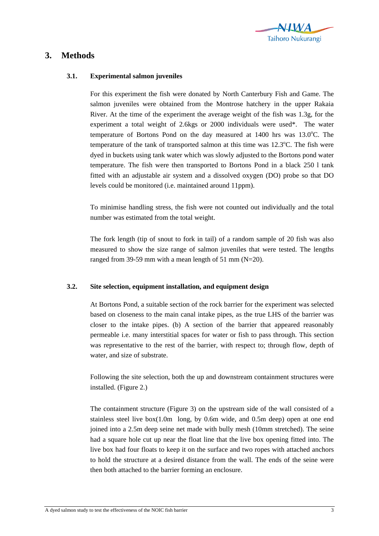

## **3. Methods**

#### **3.1. Experimental salmon juveniles**

For this experiment the fish were donated by North Canterbury Fish and Game. The salmon juveniles were obtained from the Montrose hatchery in the upper Rakaia River. At the time of the experiment the average weight of the fish was 1.3g, for the experiment a total weight of 2.6kgs or 2000 individuals were used\*. The water temperature of Bortons Pond on the day measured at 1400 hrs was 13.0°C. The temperature of the tank of transported salmon at this time was  $12.3^{\circ}$ C. The fish were dyed in buckets using tank water which was slowly adjusted to the Bortons pond water temperature. The fish were then transported to Bortons Pond in a black 250 l tank fitted with an adjustable air system and a dissolved oxygen (DO) probe so that DO levels could be monitored (i.e. maintained around 11ppm).

To minimise handling stress, the fish were not counted out individually and the total number was estimated from the total weight.

The fork length (tip of snout to fork in tail) of a random sample of 20 fish was also measured to show the size range of salmon juveniles that were tested. The lengths ranged from 39-59 mm with a mean length of 51 mm (N=20).

#### **3.2. Site selection, equipment installation, and equipment design**

At Bortons Pond, a suitable section of the rock barrier for the experiment was selected based on closeness to the main canal intake pipes, as the true LHS of the barrier was closer to the intake pipes. (b) A section of the barrier that appeared reasonably permeable i.e. many interstitial spaces for water or fish to pass through. This section was representative to the rest of the barrier, with respect to; through flow, depth of water, and size of substrate.

Following the site selection, both the up and downstream containment structures were installed. (Figure 2.)

The containment structure (Figure 3) on the upstream side of the wall consisted of a stainless steel live  $box(1.0m$  long, by 0.6m wide, and 0.5m deep) open at one end joined into a 2.5m deep seine net made with bully mesh (10mm stretched). The seine had a square hole cut up near the float line that the live box opening fitted into. The live box had four floats to keep it on the surface and two ropes with attached anchors to hold the structure at a desired distance from the wall. The ends of the seine were then both attached to the barrier forming an enclosure.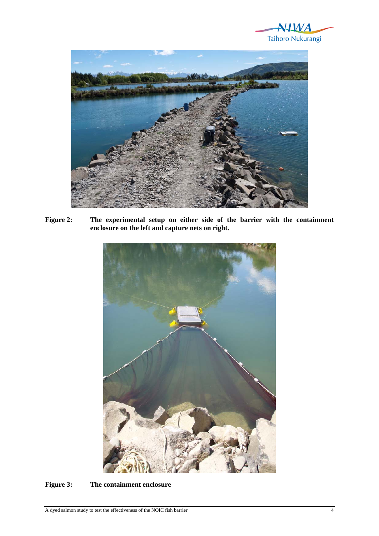



**Figure 2: The experimental setup on either side of the barrier with the containment enclosure on the left and capture nets on right.** 



**Figure 3: The containment enclosure**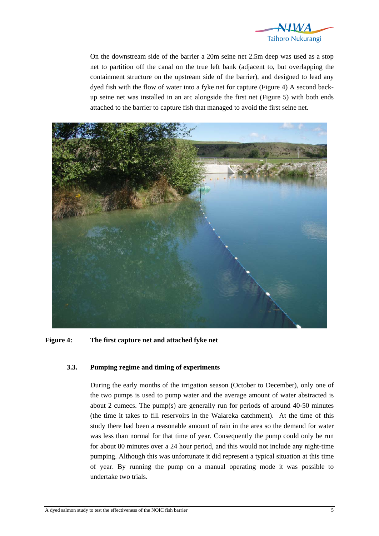

On the downstream side of the barrier a 20m seine net 2.5m deep was used as a stop net to partition off the canal on the true left bank (adjacent to, but overlapping the containment structure on the upstream side of the barrier), and designed to lead any dyed fish with the flow of water into a fyke net for capture (Figure 4) A second backup seine net was installed in an arc alongside the first net (Figure 5) with both ends attached to the barrier to capture fish that managed to avoid the first seine net.



**Figure 4: The first capture net and attached fyke net** 

#### **3.3. Pumping regime and timing of experiments**

During the early months of the irrigation season (October to December), only one of the two pumps is used to pump water and the average amount of water abstracted is about 2 cumecs. The pump(s) are generally run for periods of around 40-50 minutes (the time it takes to fill reservoirs in the Waiareka catchment). At the time of this study there had been a reasonable amount of rain in the area so the demand for water was less than normal for that time of year. Consequently the pump could only be run for about 80 minutes over a 24 hour period, and this would not include any night-time pumping. Although this was unfortunate it did represent a typical situation at this time of year. By running the pump on a manual operating mode it was possible to undertake two trials.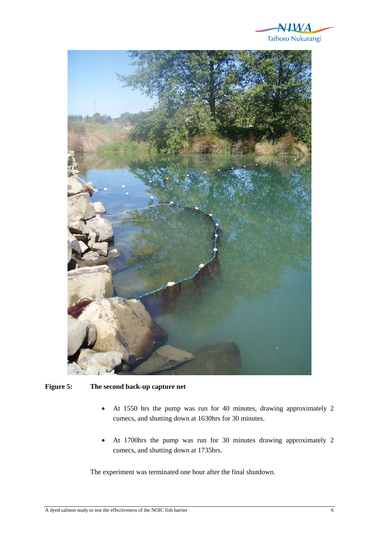



**Figure 5: The second back-up capture net** 

- At 1550 hrs the pump was run for 40 minutes, drawing approximately 2 cumecs, and shutting down at 1630hrs for 30 minutes.
- At 1700hrs the pump was run for 30 minutes drawing approximately 2 cumecs, and shutting down at 1735hrs.

The experiment was terminated one hour after the final shutdown.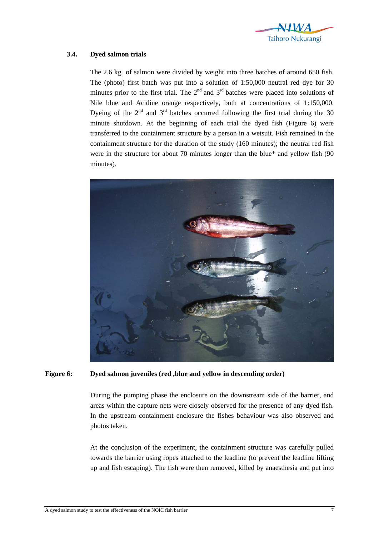

#### **3.4. Dyed salmon trials**

The 2.6 kg of salmon were divided by weight into three batches of around 650 fish. The (photo) first batch was put into a solution of 1:50,000 neutral red dye for 30 minutes prior to the first trial. The  $2<sup>nd</sup>$  and  $3<sup>rd</sup>$  batches were placed into solutions of Nile blue and Acidine orange respectively, both at concentrations of 1:150,000. Dyeing of the  $2<sup>nd</sup>$  and  $3<sup>rd</sup>$  batches occurred following the first trial during the 30 minute shutdown. At the beginning of each trial the dyed fish (Figure 6) were transferred to the containment structure by a person in a wetsuit. Fish remained in the containment structure for the duration of the study (160 minutes); the neutral red fish were in the structure for about 70 minutes longer than the blue\* and yellow fish (90 minutes).



#### **Figure 6: Dyed salmon juveniles (red ,blue and yellow in descending order)**

During the pumping phase the enclosure on the downstream side of the barrier, and areas within the capture nets were closely observed for the presence of any dyed fish. In the upstream containment enclosure the fishes behaviour was also observed and photos taken.

At the conclusion of the experiment, the containment structure was carefully pulled towards the barrier using ropes attached to the leadline (to prevent the leadline lifting up and fish escaping). The fish were then removed, killed by anaesthesia and put into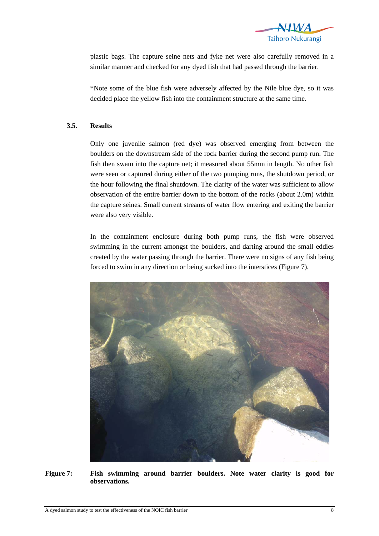

plastic bags. The capture seine nets and fyke net were also carefully removed in a similar manner and checked for any dyed fish that had passed through the barrier.

\*Note some of the blue fish were adversely affected by the Nile blue dye, so it was decided place the yellow fish into the containment structure at the same time.

#### **3.5. Results**

Only one juvenile salmon (red dye) was observed emerging from between the boulders on the downstream side of the rock barrier during the second pump run. The fish then swam into the capture net; it measured about 55mm in length. No other fish were seen or captured during either of the two pumping runs, the shutdown period, or the hour following the final shutdown. The clarity of the water was sufficient to allow observation of the entire barrier down to the bottom of the rocks (about 2.0m) within the capture seines. Small current streams of water flow entering and exiting the barrier were also very visible.

In the containment enclosure during both pump runs, the fish were observed swimming in the current amongst the boulders, and darting around the small eddies created by the water passing through the barrier. There were no signs of any fish being forced to swim in any direction or being sucked into the interstices (Figure 7).



**Figure 7: Fish swimming around barrier boulders. Note water clarity is good for observations.**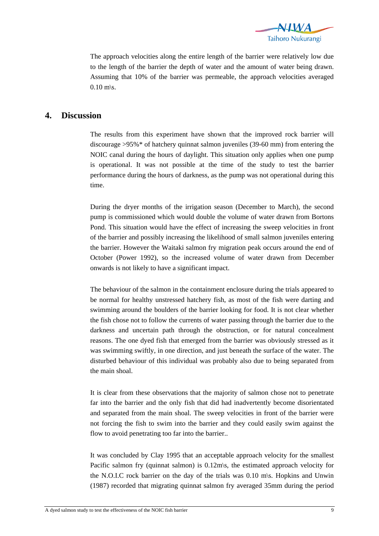

The approach velocities along the entire length of the barrier were relatively low due to the length of the barrier the depth of water and the amount of water being drawn. Assuming that 10% of the barrier was permeable, the approach velocities averaged  $0.10$  m\s.

## **4. Discussion**

The results from this experiment have shown that the improved rock barrier will discourage >95%\* of hatchery quinnat salmon juveniles (39-60 mm) from entering the NOIC canal during the hours of daylight. This situation only applies when one pump is operational. It was not possible at the time of the study to test the barrier performance during the hours of darkness, as the pump was not operational during this time.

During the dryer months of the irrigation season (December to March), the second pump is commissioned which would double the volume of water drawn from Bortons Pond. This situation would have the effect of increasing the sweep velocities in front of the barrier and possibly increasing the likelihood of small salmon juveniles entering the barrier. However the Waitaki salmon fry migration peak occurs around the end of October (Power 1992), so the increased volume of water drawn from December onwards is not likely to have a significant impact.

The behaviour of the salmon in the containment enclosure during the trials appeared to be normal for healthy unstressed hatchery fish, as most of the fish were darting and swimming around the boulders of the barrier looking for food. It is not clear whether the fish chose not to follow the currents of water passing through the barrier due to the darkness and uncertain path through the obstruction, or for natural concealment reasons. The one dyed fish that emerged from the barrier was obviously stressed as it was swimming swiftly, in one direction, and just beneath the surface of the water. The disturbed behaviour of this individual was probably also due to being separated from the main shoal.

It is clear from these observations that the majority of salmon chose not to penetrate far into the barrier and the only fish that did had inadvertently become disorientated and separated from the main shoal. The sweep velocities in front of the barrier were not forcing the fish to swim into the barrier and they could easily swim against the flow to avoid penetrating too far into the barrier..

It was concluded by Clay 1995 that an acceptable approach velocity for the smallest Pacific salmon fry (quinnat salmon) is 0.12m\s, the estimated approach velocity for the N.O.I.C rock barrier on the day of the trials was 0.10 m\s. Hopkins and Unwin (1987) recorded that migrating quinnat salmon fry averaged 35mm during the period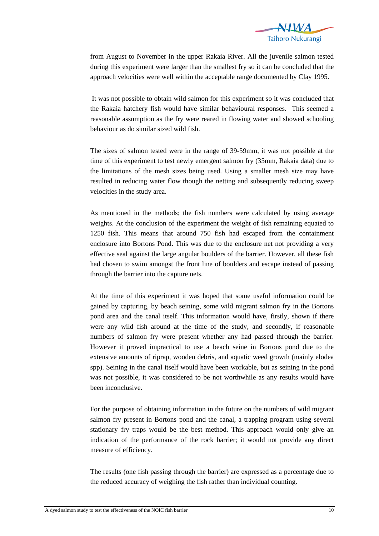

from August to November in the upper Rakaia River. All the juvenile salmon tested during this experiment were larger than the smallest fry so it can be concluded that the approach velocities were well within the acceptable range documented by Clay 1995.

 It was not possible to obtain wild salmon for this experiment so it was concluded that the Rakaia hatchery fish would have similar behavioural responses. This seemed a reasonable assumption as the fry were reared in flowing water and showed schooling behaviour as do similar sized wild fish.

The sizes of salmon tested were in the range of 39-59mm, it was not possible at the time of this experiment to test newly emergent salmon fry (35mm, Rakaia data) due to the limitations of the mesh sizes being used. Using a smaller mesh size may have resulted in reducing water flow though the netting and subsequently reducing sweep velocities in the study area.

As mentioned in the methods; the fish numbers were calculated by using average weights. At the conclusion of the experiment the weight of fish remaining equated to 1250 fish. This means that around 750 fish had escaped from the containment enclosure into Bortons Pond. This was due to the enclosure net not providing a very effective seal against the large angular boulders of the barrier. However, all these fish had chosen to swim amongst the front line of boulders and escape instead of passing through the barrier into the capture nets.

At the time of this experiment it was hoped that some useful information could be gained by capturing, by beach seining, some wild migrant salmon fry in the Bortons pond area and the canal itself. This information would have, firstly, shown if there were any wild fish around at the time of the study, and secondly, if reasonable numbers of salmon fry were present whether any had passed through the barrier. However it proved impractical to use a beach seine in Bortons pond due to the extensive amounts of riprap, wooden debris, and aquatic weed growth (mainly elodea spp). Seining in the canal itself would have been workable, but as seining in the pond was not possible, it was considered to be not worthwhile as any results would have been inconclusive.

For the purpose of obtaining information in the future on the numbers of wild migrant salmon fry present in Bortons pond and the canal, a trapping program using several stationary fry traps would be the best method. This approach would only give an indication of the performance of the rock barrier; it would not provide any direct measure of efficiency.

The results (one fish passing through the barrier) are expressed as a percentage due to the reduced accuracy of weighing the fish rather than individual counting.